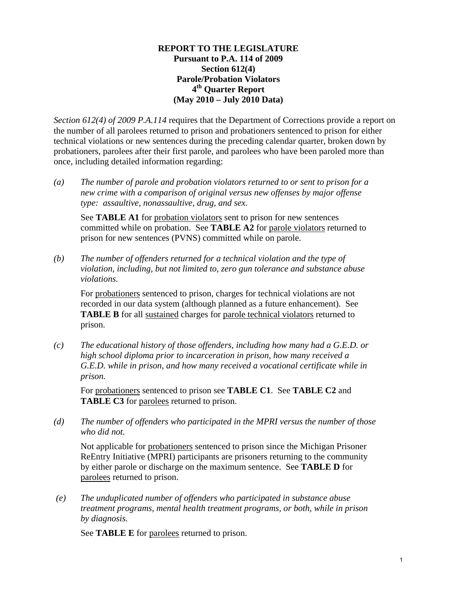### **REPORT TO THE LEGISLATURE Pursuant to P.A. 114 of 2009 Section 612(4) Parole/Probation Violators 4th Quarter Report (May 2010 – July 2010 Data)**

*Section 612(4) of 2009 P.A.114* requires that the Department of Corrections provide a report on the number of all parolees returned to prison and probationers sentenced to prison for either technical violations or new sentences during the preceding calendar quarter, broken down by probationers, parolees after their first parole, and parolees who have been paroled more than once, including detailed information regarding:

*(a) The number of parole and probation violators returned to or sent to prison for a new crime with a comparison of original versus new offenses by major offense type: assaultive, nonassaultive, drug, and sex.* 

See **TABLE A1** for probation violators sent to prison for new sentences committed while on probation. See **TABLE A2** for parole violators returned to prison for new sentences (PVNS) committed while on parole.

*(b) The number of offenders returned for a technical violation and the type of violation, including, but not limited to, zero gun tolerance and substance abuse violations.* 

For probationers sentenced to prison, charges for technical violations are not recorded in our data system (although planned as a future enhancement). See **TABLE B** for all sustained charges for parole technical violators returned to prison.

*(c) The educational history of those offenders, including how many had a G.E.D. or high school diploma prior to incarceration in prison, how many received a G.E.D. while in prison, and how many received a vocational certificate while in prison.* 

For probationers sentenced to prison see **TABLE C1**. See **TABLE C2** and **TABLE C3** for parolees returned to prison.

*(d) The number of offenders who participated in the MPRI versus the number of those who did not.* 

Not applicable for probationers sentenced to prison since the Michigan Prisoner ReEntry Initiative (MPRI) participants are prisoners returning to the community by either parole or discharge on the maximum sentence. See **TABLE D** for parolees returned to prison.

 *(e) The unduplicated number of offenders who participated in substance abuse treatment programs, mental health treatment programs, or both, while in prison by diagnosis.* 

See **TABLE E** for parolees returned to prison.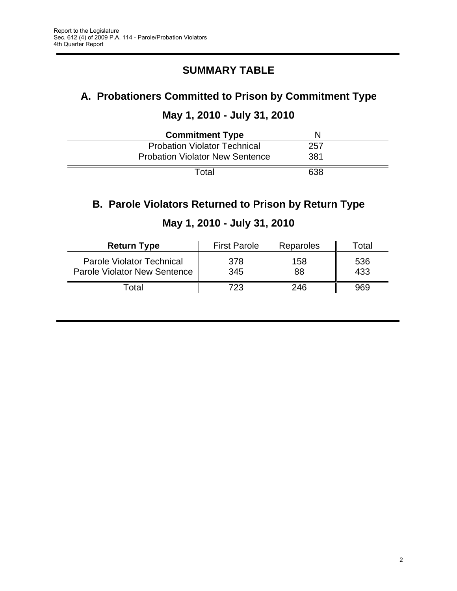# **SUMMARY TABLE**

# **A. Probationers Committed to Prison by Commitment Type**

# **May 1, 2010 - July 31, 2010**

| <b>Commitment Type</b>                 |     |  |
|----------------------------------------|-----|--|
| <b>Probation Violator Technical</b>    | 257 |  |
| <b>Probation Violator New Sentence</b> | 381 |  |
| Total                                  | 638 |  |

# **B. Parole Violators Returned to Prison by Return Type**

| <b>Return Type</b>                                                      | <b>First Parole</b> | Reparoles | Total      |
|-------------------------------------------------------------------------|---------------------|-----------|------------|
| <b>Parole Violator Technical</b><br><b>Parole Violator New Sentence</b> | 378<br>345          | 158<br>88 | 536<br>433 |
| ⊺otal                                                                   | 723                 | 246       | 969        |

# **May 1, 2010 - July 31, 2010**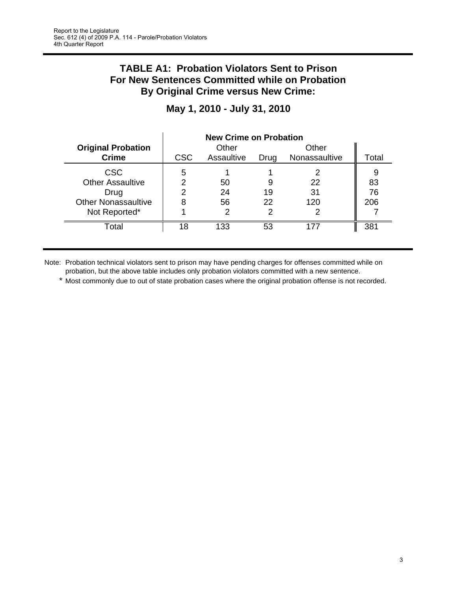## **TABLE A1: Probation Violators Sent to Prison For New Sentences Committed while on Probation By Original Crime versus New Crime:**

|                            | <b>New Crime on Probation</b> |            |      |               |       |
|----------------------------|-------------------------------|------------|------|---------------|-------|
| <b>Original Probation</b>  |                               | Other      |      | Other         |       |
| <b>Crime</b>               | <b>CSC</b>                    | Assaultive | Drug | Nonassaultive | Total |
| <b>CSC</b>                 | 5                             |            |      |               | 9     |
| <b>Other Assaultive</b>    | ⌒                             | 50         | 9    | 22            | 83    |
| Drug                       |                               | 24         | 19   | 31            | 76    |
| <b>Other Nonassaultive</b> | 8                             | 56         | 22   | 120           | 206   |
| Not Reported*              |                               | າ          |      |               |       |
| Total                      | 18                            | 133        | 53   | 177           | 381   |

# **May 1, 2010 - July 31, 2010**

Note: Probation technical violators sent to prison may have pending charges for offenses committed while on probation, but the above table includes only probation violators committed with a new sentence.

\* Most commonly due to out of state probation cases where the original probation offense is not recorded.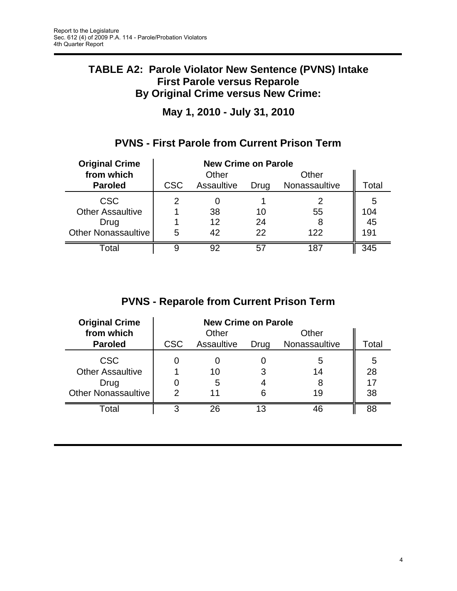# **TABLE A2: Parole Violator New Sentence (PVNS) Intake First Parole versus Reparole By Original Crime versus New Crime:**

**May 1, 2010 - July 31, 2010**

# **PVNS - First Parole from Current Prison Term**

| <b>Original Crime</b>      | <b>New Crime on Parole</b> |            |       |               |       |
|----------------------------|----------------------------|------------|-------|---------------|-------|
| from which                 |                            | Other      |       | Other         |       |
| <b>Paroled</b>             | <b>CSC</b>                 | Assaultive | Drug  | Nonassaultive | Total |
| <b>CSC</b>                 |                            |            |       |               | 5     |
| <b>Other Assaultive</b>    |                            | 38         | 10    | 55            | 104   |
| Drug                       |                            | 12         | 24    | 8             | 45    |
| <b>Other Nonassaultive</b> | 5                          | 42         | 22    | 122           | 191   |
| Total                      |                            | 92         | $5^7$ | 187           | 345   |

# **PVNS - Reparole from Current Prison Term**

| <b>Original Crime</b>                 | <b>New Crime on Parole</b> |            |      |               |         |
|---------------------------------------|----------------------------|------------|------|---------------|---------|
| from which                            |                            | Other      |      | Other         |         |
| <b>Paroled</b>                        | <b>CSC</b>                 | Assaultive | Drug | Nonassaultive | Total   |
| <b>CSC</b><br><b>Other Assaultive</b> |                            | 10         |      | 5<br>14       | 5<br>28 |
| Drug                                  |                            | 5          |      | 8             | 17      |
| <b>Other Nonassaultive</b>            | 2                          | 11         | 6    | 19            | 38      |
| Total                                 | З                          | 26         |      | 46            | 88      |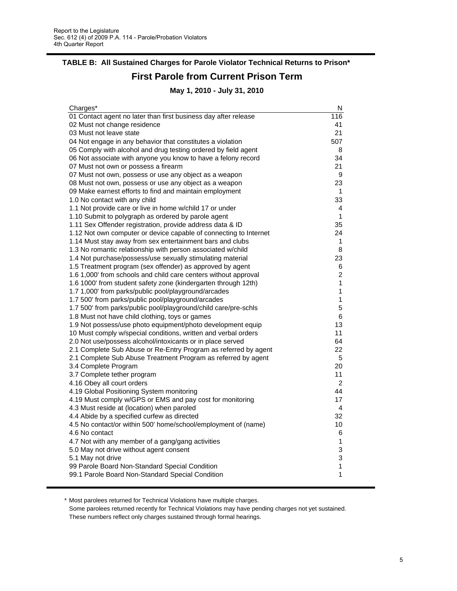# **TABLE B: All Sustained Charges for Parole Violator Technical Returns to Prison\***

# **First Parole from Current Prison Term**

**May 1, 2010 - July 31, 2010**

| Charges*                                                          | N              |
|-------------------------------------------------------------------|----------------|
| 01 Contact agent no later than first business day after release   | 116            |
| 02 Must not change residence                                      | 41             |
| 03 Must not leave state                                           | 21             |
| 04 Not engage in any behavior that constitutes a violation        | 507            |
| 05 Comply with alcohol and drug testing ordered by field agent    | 8              |
| 06 Not associate with anyone you know to have a felony record     | 34             |
| 07 Must not own or possess a firearm                              | 21             |
| 07 Must not own, possess or use any object as a weapon            | 9              |
| 08 Must not own, possess or use any object as a weapon            | 23             |
| 09 Make earnest efforts to find and maintain employment           | 1              |
| 1.0 No contact with any child                                     | 33             |
| 1.1 Not provide care or live in home w/child 17 or under          | 4              |
| 1.10 Submit to polygraph as ordered by parole agent               | $\mathbf{1}$   |
| 1.11 Sex Offender registration, provide address data & ID         | 35             |
| 1.12 Not own computer or device capable of connecting to Internet | 24             |
| 1.14 Must stay away from sex entertainment bars and clubs         | $\mathbf{1}$   |
| 1.3 No romantic relationship with person associated w/child       | 8              |
| 1.4 Not purchase/possess/use sexually stimulating material        | 23             |
| 1.5 Treatment program (sex offender) as approved by agent         | 6              |
| 1.6 1,000' from schools and child care centers without approval   | $\overline{2}$ |
| 1.6 1000' from student safety zone (kindergarten through 12th)    | 1              |
| 1.7 1,000' from parks/public pool/playground/arcades              | 1              |
| 1.7 500' from parks/public pool/playground/arcades                | 1              |
| 1.7 500' from parks/public pool/playground/child care/pre-schls   | 5              |
| 1.8 Must not have child clothing, toys or games                   | 6              |
| 1.9 Not possess/use photo equipment/photo development equip       | 13             |
| 10 Must comply w/special conditions, written and verbal orders    | 11             |
| 2.0 Not use/possess alcohol/intoxicants or in place served        | 64             |
| 2.1 Complete Sub Abuse or Re-Entry Program as referred by agent   | 22             |
| 2.1 Complete Sub Abuse Treatment Program as referred by agent     | 5              |
| 3.4 Complete Program                                              | 20             |
| 3.7 Complete tether program                                       | 11             |
| 4.16 Obey all court orders                                        | 2              |
| 4.19 Global Positioning System monitoring                         | 44             |
| 4.19 Must comply w/GPS or EMS and pay cost for monitoring         | 17             |
| 4.3 Must reside at (location) when paroled                        | 4              |
| 4.4 Abide by a specified curfew as directed                       | 32             |
| 4.5 No contact/or within 500' home/school/employment of (name)    | 10             |
| 4.6 No contact                                                    | 6              |
| 4.7 Not with any member of a gang/gang activities                 | 1              |
| 5.0 May not drive without agent consent                           | 3              |
| 5.1 May not drive                                                 | 3              |
| 99 Parole Board Non-Standard Special Condition                    | 1              |
| 99.1 Parole Board Non-Standard Special Condition                  | 1              |
|                                                                   |                |

\* Most parolees returned for Technical Violations have multiple charges.

Some parolees returned recently for Technical Violations may have pending charges not yet sustained. These numbers reflect only charges sustained through formal hearings.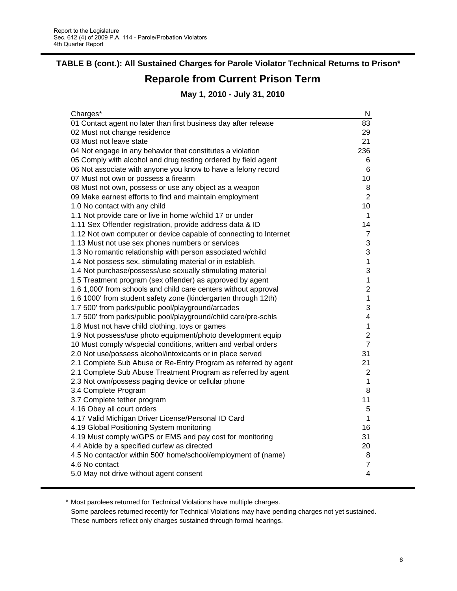# **Reparole from Current Prison Term TABLE B (cont.): All Sustained Charges for Parole Violator Technical Returns to Prison\***

## **May 1, 2010 - July 31, 2010**

| Charges*                                                          | N              |
|-------------------------------------------------------------------|----------------|
| 01 Contact agent no later than first business day after release   | 83             |
| 02 Must not change residence                                      | 29             |
| 03 Must not leave state                                           | 21             |
| 04 Not engage in any behavior that constitutes a violation        | 236            |
| 05 Comply with alcohol and drug testing ordered by field agent    | 6              |
| 06 Not associate with anyone you know to have a felony record     | 6              |
| 07 Must not own or possess a firearm                              | 10             |
| 08 Must not own, possess or use any object as a weapon            | 8              |
| 09 Make earnest efforts to find and maintain employment           | $\overline{2}$ |
| 1.0 No contact with any child                                     | 10             |
| 1.1 Not provide care or live in home w/child 17 or under          | 1              |
| 1.11 Sex Offender registration, provide address data & ID         | 14             |
| 1.12 Not own computer or device capable of connecting to Internet | $\overline{7}$ |
| 1.13 Must not use sex phones numbers or services                  | 3              |
| 1.3 No romantic relationship with person associated w/child       | 3              |
| 1.4 Not possess sex. stimulating material or in establish.        | 1              |
| 1.4 Not purchase/possess/use sexually stimulating material        | 3              |
| 1.5 Treatment program (sex offender) as approved by agent         | $\mathbf 1$    |
| 1.6 1,000' from schools and child care centers without approval   | $\overline{2}$ |
| 1.6 1000' from student safety zone (kindergarten through 12th)    | $\mathbf 1$    |
| 1.7 500' from parks/public pool/playground/arcades                | 3              |
| 1.7 500' from parks/public pool/playground/child care/pre-schls   | 4              |
| 1.8 Must not have child clothing, toys or games                   | 1              |
| 1.9 Not possess/use photo equipment/photo development equip       | $\overline{2}$ |
| 10 Must comply w/special conditions, written and verbal orders    | $\overline{7}$ |
| 2.0 Not use/possess alcohol/intoxicants or in place served        | 31             |
| 2.1 Complete Sub Abuse or Re-Entry Program as referred by agent   | 21             |
| 2.1 Complete Sub Abuse Treatment Program as referred by agent     | 2              |
| 2.3 Not own/possess paging device or cellular phone               | 1              |
| 3.4 Complete Program                                              | 8              |
| 3.7 Complete tether program                                       | 11             |
| 4.16 Obey all court orders                                        | 5              |
| 4.17 Valid Michigan Driver License/Personal ID Card               | 1              |
| 4.19 Global Positioning System monitoring                         | 16             |
| 4.19 Must comply w/GPS or EMS and pay cost for monitoring         | 31             |
| 4.4 Abide by a specified curfew as directed                       | 20             |
| 4.5 No contact/or within 500' home/school/employment of (name)    | 8              |
| 4.6 No contact                                                    | 7              |
| 5.0 May not drive without agent consent                           | 4              |
|                                                                   |                |

\* Most parolees returned for Technical Violations have multiple charges.

Some parolees returned recently for Technical Violations may have pending charges not yet sustained. These numbers reflect only charges sustained through formal hearings.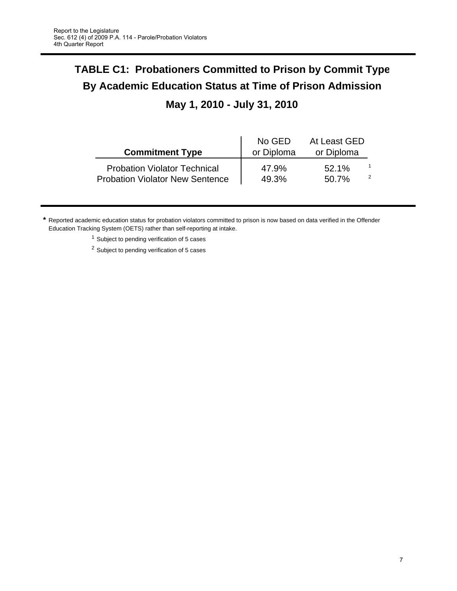# **TABLE C1: Probationers Committed to Prison by Commit Type By Academic Education Status at Time of Prison Admission**

# **May 1, 2010 - July 31, 2010**

| <b>Commitment Type</b>                 | No GED<br>or Diploma | At Least GED<br>or Diploma |  |
|----------------------------------------|----------------------|----------------------------|--|
| <b>Probation Violator Technical</b>    | 47.9%                | 52.1%                      |  |
| <b>Probation Violator New Sentence</b> | 49.3%                | 50.7%                      |  |

**\*** Reported academic education status for probation violators committed to prison is now based on data verified in the Offender Education Tracking System (OETS) rather than self-reporting at intake.

<sup>1</sup> Subject to pending verification of 5 cases

<sup>2</sup> Subject to pending verification of 5 cases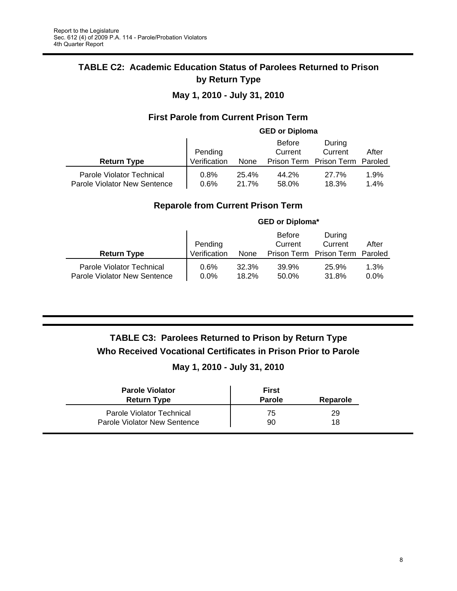## **TABLE C2: Academic Education Status of Parolees Returned to Prison by Return Type**

## **May 1, 2010 - July 31, 2010**

## **First Parole from Current Prison Term**

|                                                           |              |                | <b>GED or Diploma</b> |                                 |              |
|-----------------------------------------------------------|--------------|----------------|-----------------------|---------------------------------|--------------|
|                                                           |              |                | <b>Before</b>         | During                          |              |
|                                                           | Pending      |                | Current               | Current                         | After        |
| <b>Return Type</b>                                        | Verification | None           |                       | Prison Term Prison Term Paroled |              |
| Parole Violator Technical<br>Parole Violator New Sentence | 0.8%<br>0.6% | 25.4%<br>21.7% | 44.2%<br>58.0%        | 27.7%<br>18.3%                  | 1.9%<br>1.4% |

## **Reparole from Current Prison Term**

|                                                           |                 |                | <b>GED or Diploma*</b>   |                         |                 |
|-----------------------------------------------------------|-----------------|----------------|--------------------------|-------------------------|-----------------|
|                                                           | Pending         |                | <b>Before</b><br>Current | During<br>Current       | After           |
| <b>Return Type</b>                                        | Verification    | None           |                          | Prison Term Prison Term | Paroled         |
| Parole Violator Technical<br>Parole Violator New Sentence | 0.6%<br>$0.0\%$ | 32.3%<br>18.2% | 39.9%<br>50.0%           | 25.9%<br>31.8%          | 1.3%<br>$0.0\%$ |

# **TABLE C3: Parolees Returned to Prison by Return Type Who Received Vocational Certificates in Prison Prior to Parole**

## **May 1, 2010 - July 31, 2010**

| <b>Parole Violator</b><br><b>Return Type</b> | First<br><b>Parole</b> | Reparole |
|----------------------------------------------|------------------------|----------|
| Parole Violator Technical                    | 75                     | 29       |
| Parole Violator New Sentence                 | 90                     | 18       |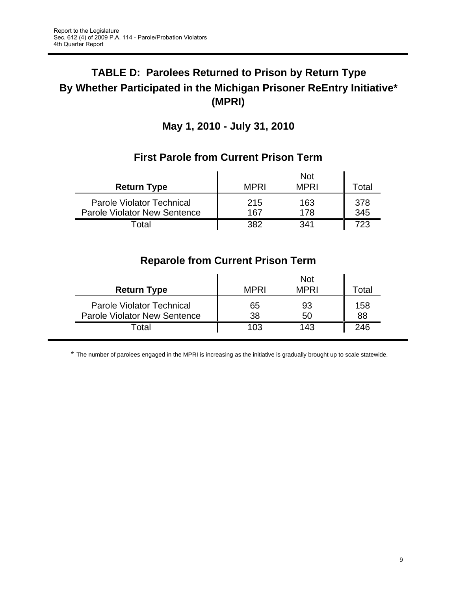# **TABLE D: Parolees Returned to Prison by Return Type By Whether Participated in the Michigan Prisoner ReEntry Initiative\* (MPRI)**

**May 1, 2010 - July 31, 2010**

|                                                                         |             | <b>Not</b>  |            |
|-------------------------------------------------------------------------|-------------|-------------|------------|
| <b>Return Type</b>                                                      | <b>MPRI</b> | <b>MPRI</b> | Total      |
| <b>Parole Violator Technical</b><br><b>Parole Violator New Sentence</b> | 215<br>167  | 163<br>178  | 378<br>345 |
| nta                                                                     | つのつ         | 341         | 723        |

# **First Parole from Current Prison Term**

# **Reparole from Current Prison Term**

| <b>Return Type</b>                                                      | <b>MPRI</b> | <b>Not</b><br><b>MPRI</b> | otal      |
|-------------------------------------------------------------------------|-------------|---------------------------|-----------|
| <b>Parole Violator Technical</b><br><b>Parole Violator New Sentence</b> | 65<br>38    | 93<br>50                  | 158<br>88 |
| ⊺otal                                                                   | 103         | 143                       | 246       |

\* The number of parolees engaged in the MPRI is increasing as the initiative is gradually brought up to scale statewide.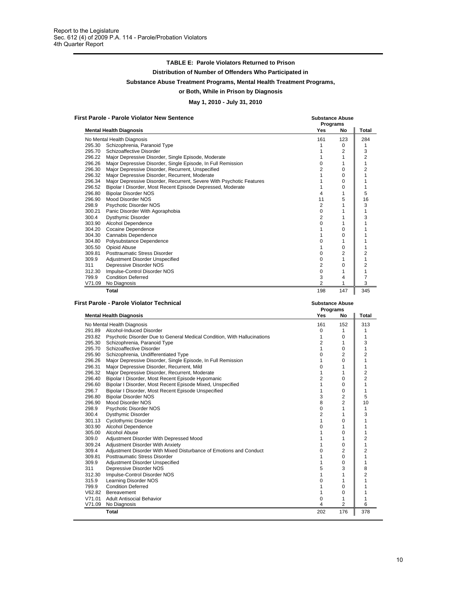#### **TABLE E: Parole Violators Returned to Prison**

**Distribution of Number of Offenders Who Participated in**

**Substance Abuse Treatment Programs, Mental Health Treatment Programs,**

#### **or Both, While in Prison by Diagnosis**

#### **May 1, 2010 - July 31, 2010**

**First Parole - Parole Violator New Sentence Substance Abuse**

|        |                                                                      | Programs       |          |                |
|--------|----------------------------------------------------------------------|----------------|----------|----------------|
|        | <b>Mental Health Diagnosis</b>                                       | <b>Yes</b>     | No       | Total          |
|        | No Mental Health Diagnosis                                           | 161            | 123      | 284            |
| 295.30 | Schizophrenia, Paranoid Type                                         |                | 0        | 1              |
| 295.70 | Schizoaffective Disorder                                             |                | 2        | 3              |
| 296.22 | Major Depressive Disorder, Single Episode, Moderate                  |                |          | 2              |
| 296.26 | Major Depressive Disorder, Single Episode, In Full Remission         |                |          | 1              |
| 296.30 | Major Depressive Disorder, Recurrent, Unspecified                    | 2              | $\Omega$ | $\overline{c}$ |
| 296.32 | Major Depressive Disorder, Recurrent, Moderate                       |                | $\Omega$ |                |
| 296.34 | Major Depressive Disorder, Recurrent, Severe With Psychotic Features |                | 0        |                |
| 296.52 | Bipolar I Disorder, Most Recent Episode Depressed, Moderate          |                | $\Omega$ |                |
| 296.80 | <b>Bipolar Disorder NOS</b>                                          |                |          | 5              |
| 296.90 | Mood Disorder NOS                                                    | 11             | 5        | 16             |
| 298.9  | Psychotic Disorder NOS                                               | 2              |          | 3              |
| 300.21 | Panic Disorder With Agoraphobia                                      | 0              |          |                |
| 300.4  | Dysthymic Disorder                                                   | 2              |          | 3              |
| 303.90 | Alcohol Dependence                                                   | 0              |          |                |
| 304.20 | Cocaine Dependence                                                   |                | O        |                |
| 304.30 | Cannabis Dependence                                                  |                | O        |                |
| 304.80 | Polysubstance Dependence                                             |                |          |                |
| 305.50 | Opioid Abuse                                                         |                | $\Omega$ |                |
| 309.81 | Posttraumatic Stress Disorder                                        | O              | 2        | 2              |
| 309.9  | Adjustment Disorder Unspecified                                      | 0              |          |                |
| 311    | Depressive Disorder NOS                                              | $\overline{c}$ | $\Omega$ | 2              |
| 312.30 | Impulse-Control Disorder NOS                                         | 0              |          |                |
| 799.9  | <b>Condition Deferred</b>                                            | 3              | 4        |                |
| V71.09 | No Diagnosis                                                         | 2              |          | 3              |
|        | Total                                                                | 198            | 147      | 345            |

| <b>First Parole - Parole Violator Technical</b> | <b>Substance Abuse</b> |
|-------------------------------------------------|------------------------|
|                                                 |                        |

|        |                                                                          | <b>Programs</b> |                |                |
|--------|--------------------------------------------------------------------------|-----------------|----------------|----------------|
|        | <b>Mental Health Diagnosis</b>                                           | Yes             | No             | Total          |
|        | No Mental Health Diagnosis                                               | 161             | 152            | 313            |
| 291.89 | Alcohol-Induced Disorder                                                 | 0               | 1              |                |
| 293.82 | Psychotic Disorder Due to General Medical Condition, With Hallucinations |                 | 0              | 1              |
| 295.30 | Schizophrenia, Paranoid Type                                             | 2               | 1              | 3              |
| 295.70 | Schizoaffective Disorder                                                 |                 | 0              | 1              |
| 295.90 | Schizophrenia, Undifferentiated Type                                     | 0               | 2              | $\overline{2}$ |
| 296.26 | Major Depressive Disorder, Single Episode, In Full Remission             |                 | 0              | 1              |
| 296.31 | Major Depressive Disorder, Recurrent, Mild                               | $\Omega$        | 1              | 1              |
| 296.32 | Major Depressive Disorder, Recurrent, Moderate                           |                 | 1              | $\overline{2}$ |
| 296.40 | Bipolar I Disorder, Most Recent Episode Hypomanic                        | $\overline{c}$  | $\Omega$       | $\overline{2}$ |
| 296.60 | Bipolar I Disorder, Most Recent Episode Mixed, Unspecified               |                 | 0              | 1              |
| 296.7  | Bipolar I Disorder, Most Recent Episode Unspecified                      |                 | $\Omega$       | 1              |
| 296.80 | <b>Bipolar Disorder NOS</b>                                              | 3               | 2              | 5              |
| 296.90 | Mood Disorder NOS                                                        | 8               | $\overline{2}$ | 10             |
| 298.9  | Psychotic Disorder NOS                                                   | $\Omega$        | 1              | 1              |
| 300.4  | Dysthymic Disorder                                                       | $\overline{2}$  |                | 3              |
| 301.13 | <b>Cyclothymic Disorder</b>                                              |                 | 0              |                |
| 303.90 | <b>Alcohol Dependence</b>                                                | $\Omega$        | 1              | 1              |
| 305.00 | Alcohol Abuse                                                            |                 | 0              | 1              |
| 309.0  | Adjustment Disorder With Depressed Mood                                  |                 | 1              | $\overline{2}$ |
| 309.24 | Adjustment Disorder With Anxiety                                         |                 | 0              | 1              |
| 309.4  | Adjustment Disorder With Mixed Disturbance of Emotions and Conduct       | $\Omega$        | 2              | 2              |
| 309.81 | Posttraumatic Stress Disorder                                            |                 | 0              | 1              |
| 309.9  | Adjustment Disorder Unspecified                                          |                 | 0              | 1              |
| 311    | Depressive Disorder NOS                                                  | 5               | 3              | 8              |
| 312.30 | Impulse-Control Disorder NOS                                             |                 | 1              | $\overline{2}$ |
| 315.9  | Learning Disorder NOS                                                    | 0               |                |                |
| 799.9  | <b>Condition Deferred</b>                                                |                 | 0              |                |
| V62.82 | Bereavement                                                              |                 | 0              |                |
| V71.01 | <b>Adult Antisocial Behavior</b>                                         | O               | 1              |                |
| V71.09 | No Diagnosis                                                             | 4               | 2              | 6              |
|        | Total                                                                    | 202             | 176            | 378            |
|        |                                                                          |                 |                |                |